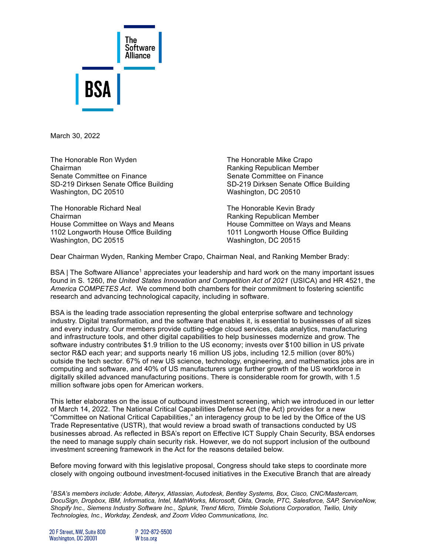

March 30, 2022

The Honorable Ron Wyden The Honorable Mike Crapo Chairman Ranking Republican Member Senate Committee on Finance Senate Committee on Finance SD-219 Dirksen Senate Office Building SD-219 Dirksen Senate Office Building Washington, DC 20510 Washington, DC 20510

The Honorable Richard Neal The Honorable Kevin Brady Chairman **Chairman** Chairman Chairman Ranking Republican Member House Committee on Ways and Means **House Committee on Ways and Means** 1102 Longworth House Office Building 1011 Longworth House Office Building Washington, DC 20515 Washington, DC 20515

Dear Chairman Wyden, Ranking Member Crapo, Chairman Neal, and Ranking Member Brady:

BSA | The Software Alliance<sup>1</sup> appreciates your leadership and hard work on the many important issues found in S. 1260, *the United States Innovation and Competition Act of 2021* (USICA) and HR 4521, the *America COMPETES Act*. We commend both chambers for their commitment to fostering scientific research and advancing technological capacity, including in software.

BSA is the leading trade association representing the global enterprise software and technology industry. Digital transformation, and the software that enables it, is essential to businesses of all sizes and every industry. Our members provide cutting-edge cloud services, data analytics, manufacturing and infrastructure tools, and other digital capabilities to help businesses modernize and grow. The software industry contributes \$1.9 trillion to the US economy; invests over \$100 billion in US private sector R&D each year; and supports nearly 16 million US jobs, including 12.5 million (over 80%) outside the tech sector. 67% of new US science, technology, engineering, and mathematics jobs are in computing and software, and 40% of US manufacturers urge further growth of the US workforce in digitally skilled advanced manufacturing positions. There is considerable room for growth, with 1.5 million software jobs open for American workers.

This letter elaborates on the issue of outbound investment screening, which we introduced in our [letter](https://www.bsa.org/files/policy-filings/03142022usicacomp.pdf)  [of March 14, 2022.](https://www.bsa.org/files/policy-filings/03142022usicacomp.pdf) The National Critical Capabilities Defense Act (the Act) provides for a new "Committee on National Critical Capabilities," an interagency group to be led by the Office of the US Trade Representative (USTR), that would review a broad swath of transactions conducted by US businesses abroad. As reflected in BSA's report on [Effective ICT Supply Chain Security,](https://www.bsa.org/files/policy-filings/02162021supplychainsecurity.pdf) BSA endorses the need to manage supply chain security risk. However, we do not support inclusion of the outbound investment screening framework in the Act for the reasons detailed below.

Before moving forward with this legislative proposal, Congress should take steps to coordinate more closely with ongoing outbound investment-focused initiatives in the Executive Branch that are already

*<sup>1</sup>BSA's members include: Adobe, Alteryx, Atlassian, Autodesk, Bentley Systems, Box, Cisco, CNC/Mastercam, DocuSign, Dropbox, IBM, Informatica, Intel, MathWorks, Microsoft, Okta, Oracle, PTC, Salesforce, SAP, ServiceNow, Shopify Inc., Siemens Industry Software Inc., Splunk, Trend Micro, Trimble Solutions Corporation, Twilio, Unity Technologies, Inc., Workday, Zendesk, and Zoom Video Communications, Inc.*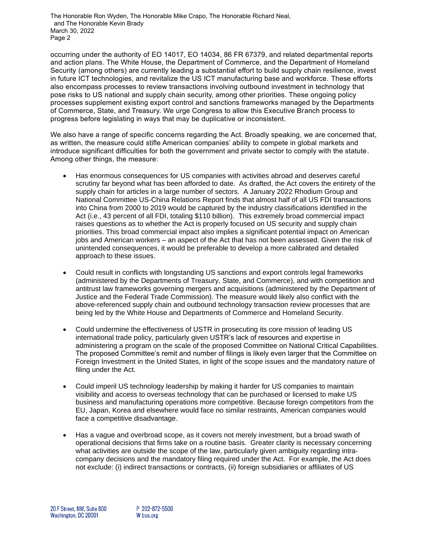The Honorable Ron Wyden, The Honorable Mike Crapo, The Honorable Richard Neal, and The Honorable Kevin Brady March 30, 2022 Page 2

occurring under the authority of [EO 14017,](https://www.dhs.gov/sites/default/files/2022-02/ICT%20Supply%20Chain%20Report_0.pdf) EO [14034,](https://www.govinfo.gov/content/pkg/FR-2021-06-11/pdf/2021-12506.pdf) [86 FR 67379,](https://www.govinfo.gov/content/pkg/FR-2021-11-26/pdf/2021-25329.pdf) and related departmental reports and action plans. The White House, the Department of Commerce, and the Department of Homeland Security (among others) are currently leading a substantial effort to build supply chain resilience, invest in future ICT technologies, and revitalize the US ICT manufacturing base and workforce. These efforts also encompass processes to review transactions involving outbound investment in technology that pose risks to US national and supply chain security, among other priorities. These ongoing policy processes supplement existing export control and sanctions frameworks managed by the Departments of Commerce, State, and Treasury. We urge Congress to allow this Executive Branch process to progress before legislating in ways that may be duplicative or inconsistent.

We also have a range of specific concerns regarding the Act. Broadly speaking, we are concerned that, as written, the measure could stifle American companies' ability to compete in global markets and introduce significant difficulties for both the government and private sector to comply with the statute. Among other things, the measure:

- Has enormous consequences for US companies with activities abroad and deserves careful scrutiny far beyond what has been afforded to date. As drafted, the Act covers the entirety of the supply chain for articles in a large number of sectors. A January 2022 Rhodium Group and National Committee US-China Relations [Report](https://rhg.com/wp-content/uploads/2022/01/RHG_TWS_2022_US-Outbound-Investment.pdf) finds that almost half of all US FDI transactions into China from 2000 to 2019 would be captured by the industry classifications identified in the Act (i.e., 43 percent of all FDI, totaling \$110 billion). This extremely broad commercial impact raises questions as to whether the Act is properly focused on US security and supply chain priorities. This broad commercial impact also implies a significant potential impact on American jobs and American workers – an aspect of the Act that has not been assessed. Given the risk of unintended consequences, it would be preferable to develop a more calibrated and detailed approach to these issues.
- Could result in conflicts with longstanding US sanctions and export controls legal frameworks (administered by the Departments of Treasury, State, and Commerce), and with competition and antitrust law frameworks governing mergers and acquisitions (administered by the Department of Justice and the Federal Trade Commission). The measure would likely also conflict with the above-referenced supply chain and outbound technology transaction review processes that are being led by the White House and Departments of Commerce and Homeland Security.
- Could undermine the effectiveness of USTR in prosecuting its core mission of leading US international trade policy, particularly given USTR's lack of resources and expertise in administering a program on the scale of the proposed Committee on National Critical Capabilities. The proposed Committee's remit and number of filings is likely even larger that the Committee on Foreign Investment in the United States, in light of the scope issues and the mandatory nature of filing under the Act.
- Could imperil US technology leadership by making it harder for US companies to maintain visibility and access to overseas technology that can be purchased or licensed to make US business and manufacturing operations more competitive. Because foreign competitors from the EU, Japan, Korea and elsewhere would face no similar restraints, American companies would face a competitive disadvantage.
- Has a vague and overbroad scope, as it covers not merely investment, but a broad swath of operational decisions that firms take on a routine basis. Greater clarity is necessary concerning what activities are outside the scope of the law, particularly given ambiguity regarding intracompany decisions and the mandatory filing required under the Act. For example, the Act does not exclude: (i) indirect transactions or contracts, (ii) foreign subsidiaries or affiliates of US

P 202-872-5500 W bsa.org